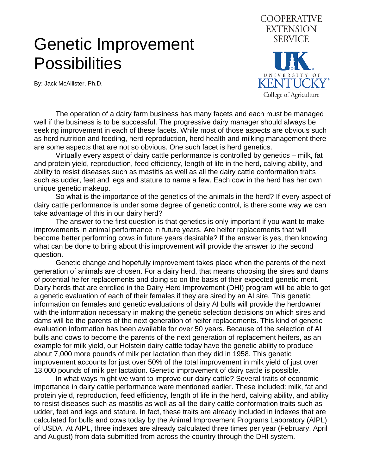## Genetic Improvement **Possibilities**

By: Jack McAllister, Ph.D.



 The operation of a dairy farm business has many facets and each must be managed well if the business is to be successful. The progressive dairy manager should always be seeking improvement in each of these facets. While most of those aspects are obvious such as herd nutrition and feeding, herd reproduction, herd health and milking management there are some aspects that are not so obvious. One such facet is herd genetics.

 Virtually every aspect of dairy cattle performance is controlled by genetics – milk, fat and protein yield, reproduction, feed efficiency, length of life in the herd, calving ability, and ability to resist diseases such as mastitis as well as all the dairy cattle conformation traits such as udder, feet and legs and stature to name a few. Each cow in the herd has her own unique genetic makeup.

 So what is the importance of the genetics of the animals in the herd? If every aspect of dairy cattle performance is under some degree of genetic control, is there some way we can take advantage of this in our dairy herd?

 The answer to the first question is that genetics is only important if you want to make improvements in animal performance in future years. Are heifer replacements that will become better performing cows in future years desirable? If the answer is yes, then knowing what can be done to bring about this improvement will provide the answer to the second question.

 Genetic change and hopefully improvement takes place when the parents of the next generation of animals are chosen. For a dairy herd, that means choosing the sires and dams of potential heifer replacements and doing so on the basis of their expected genetic merit. Dairy herds that are enrolled in the Dairy Herd Improvement (DHI) program will be able to get a genetic evaluation of each of their females if they are sired by an AI sire. This genetic information on females and genetic evaluations of dairy AI bulls will provide the herdowner with the information necessary in making the genetic selection decisions on which sires and dams will be the parents of the next generation of heifer replacements. This kind of genetic evaluation information has been available for over 50 years. Because of the selection of AI bulls and cows to become the parents of the next generation of replacement heifers, as an example for milk yield, our Holstein dairy cattle today have the genetic ability to produce about 7,000 more pounds of milk per lactation than they did in 1958. This genetic improvement accounts for just over 50% of the total improvement in milk yield of just over 13,000 pounds of milk per lactation. Genetic improvement of dairy cattle is possible.

 In what ways might we want to improve our dairy cattle? Several traits of economic importance in dairy cattle performance were mentioned earlier. These included: milk, fat and protein yield, reproduction, feed efficiency, length of life in the herd, calving ability, and ability to resist diseases such as mastitis as well as all the dairy cattle conformation traits such as udder, feet and legs and stature. In fact, these traits are already included in indexes that are calculated for bulls and cows today by the Animal Improvement Programs Laboratory (AIPL) of USDA. At AIPL, three indexes are already calculated three times per year (February, April and August) from data submitted from across the country through the DHI system.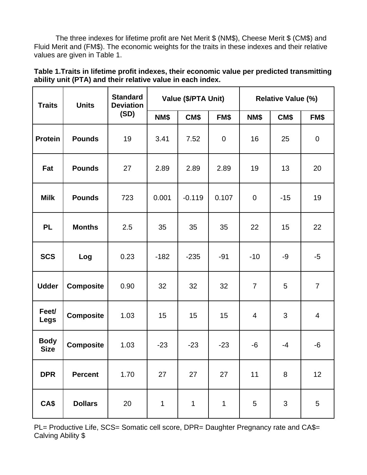The three indexes for lifetime profit are Net Merit \$ (NM\$), Cheese Merit \$ (CM\$) and Fluid Merit and (FM\$). The economic weights for the traits in these indexes and their relative values are given in Table 1.

| Table 1. Traits in lifetime profit indexes, their economic value per predicted transmitting |
|---------------------------------------------------------------------------------------------|
| ability unit (PTA) and their relative value in each index.                                  |

| <b>Traits</b>              | <b>Units</b>     | <b>Standard</b><br><b>Deviation</b><br>(SD) | Value (\$/PTA Unit) |              |                  | <b>Relative Value (%)</b> |       |                |
|----------------------------|------------------|---------------------------------------------|---------------------|--------------|------------------|---------------------------|-------|----------------|
|                            |                  |                                             | NM\$                | CM\$         | FM\$             | NM\$                      | CM\$  | FM\$           |
| <b>Protein</b>             | <b>Pounds</b>    | 19                                          | 3.41                | 7.52         | $\boldsymbol{0}$ | 16                        | 25    | 0              |
| Fat                        | <b>Pounds</b>    | 27                                          | 2.89                | 2.89         | 2.89             | 19                        | 13    | 20             |
| <b>Milk</b>                | <b>Pounds</b>    | 723                                         | 0.001               | $-0.119$     | 0.107            | $\mathbf 0$               | $-15$ | 19             |
| <b>PL</b>                  | <b>Months</b>    | 2.5                                         | 35                  | 35           | 35               | 22                        | 15    | 22             |
| <b>SCS</b>                 | Log              | 0.23                                        | $-182$              | $-235$       | $-91$            | $-10$                     | $-9$  | $-5$           |
| <b>Udder</b>               | <b>Composite</b> | 0.90                                        | 32                  | 32           | 32               | $\overline{7}$            | 5     | $\overline{7}$ |
| Feet/<br><b>Legs</b>       | <b>Composite</b> | 1.03                                        | 15                  | 15           | 15               | 4                         | 3     | 4              |
| <b>Body</b><br><b>Size</b> | <b>Composite</b> | 1.03                                        | $-23$               | $-23$        | $-23$            | $-6$                      | $-4$  | -6             |
| <b>DPR</b>                 | <b>Percent</b>   | 1.70                                        | 27                  | 27           | 27               | 11                        | 8     | 12             |
| CA\$                       | <b>Dollars</b>   | 20                                          | 1                   | $\mathbf{1}$ | $\mathbf 1$      | 5                         | 3     | 5              |

PL= Productive Life, SCS= Somatic cell score, DPR= Daughter Pregnancy rate and CA\$= Calving Ability \$